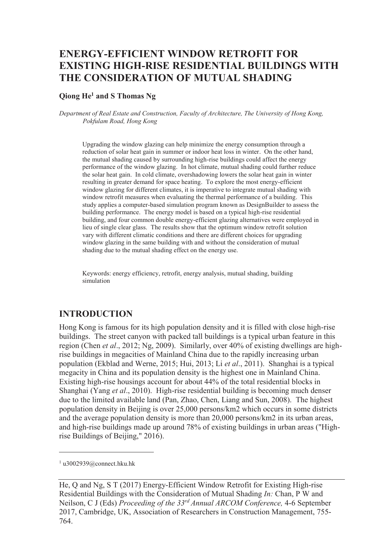## **ENERGY-EFFICIENT WINDOW RETROFIT FOR EXISTING HIGH-RISE RESIDENTIAL BUILDINGS WITH THE CONSIDERATION OF MUTUAL SHADING**

#### **Qiong He<sup>1</sup> and S Thomas Ng**

*Department of Real Estate and Construction, Faculty of Architecture, The University of Hong Kong, Pokfulam Road, Hong Kong* 

Upgrading the window glazing can help minimize the energy consumption through a reduction of solar heat gain in summer or indoor heat loss in winter. On the other hand, the mutual shading caused by surrounding high-rise buildings could affect the energy performance of the window glazing. In hot climate, mutual shading could further reduce the solar heat gain. In cold climate, overshadowing lowers the solar heat gain in winter resulting in greater demand for space heating. To explore the most energy-efficient window glazing for different climates, it is imperative to integrate mutual shading with window retrofit measures when evaluating the thermal performance of a building. This study applies a computer-based simulation program known as DesignBuilder to assess the building performance. The energy model is based on a typical high-rise residential building, and four common double energy-efficient glazing alternatives were employed in lieu of single clear glass. The results show that the optimum window retrofit solution vary with different climatic conditions and there are different choices for upgrading window glazing in the same building with and without the consideration of mutual shading due to the mutual shading effect on the energy use.

Keywords: energy efficiency, retrofit, energy analysis, mutual shading, building simulation

### **INTRODUCTION**

Hong Kong is famous for its high population density and it is filled with close high-rise buildings. The street canyon with packed tall buildings is a typical urban feature in this region (Chen *et al*., 2012; Ng, 2009). Similarly, over 40% of existing dwellings are highrise buildings in megacities of Mainland China due to the rapidly increasing urban population (Ekblad and Werne, 2015; Hui, 2013; Li *et al*., 2011). Shanghai is a typical megacity in China and its population density is the highest one in Mainland China. Existing high-rise housings account for about 44% of the total residential blocks in Shanghai (Yang *et al*., 2010). High-rise residential building is becoming much denser due to the limited available land (Pan, Zhao, Chen, Liang and Sun, 2008). The highest population density in Beijing is over 25,000 persons/km2 which occurs in some districts and the average population density is more than 20,000 persons/km2 in its urban areas, and high-rise buildings made up around 78% of existing buildings in urban areas ("Highrise Buildings of Beijing," 2016).

 $\overline{a}$ 

<sup>1</sup> u3002939@connect.hku.hk

He, Q and Ng, S T (2017) Energy-Efficient Window Retrofit for Existing High-rise Residential Buildings with the Consideration of Mutual Shading *In:* Chan, P W and Neilson, C J (Eds) *Proceeding of the 33rd Annual ARCOM Conference,* 4-6 September 2017, Cambridge, UK, Association of Researchers in Construction Management, 755- 764.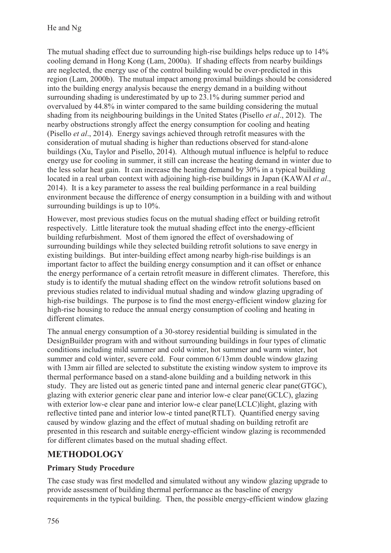The mutual shading effect due to surrounding high-rise buildings helps reduce up to 14% cooling demand in Hong Kong (Lam, 2000a). If shading effects from nearby buildings are neglected, the energy use of the control building would be over-predicted in this region (Lam, 2000b). The mutual impact among proximal buildings should be considered into the building energy analysis because the energy demand in a building without surrounding shading is underestimated by up to 23.1% during summer period and overvalued by 44.8% in winter compared to the same building considering the mutual shading from its neighbouring buildings in the United States (Pisello *et al*., 2012). The nearby obstructions strongly affect the energy consumption for cooling and heating (Pisello *et al*., 2014). Energy savings achieved through retrofit measures with the consideration of mutual shading is higher than reductions observed for stand-alone buildings (Xu, Taylor and Pisello, 2014). Although mutual influence is helpful to reduce energy use for cooling in summer, it still can increase the heating demand in winter due to the less solar heat gain. It can increase the heating demand by 30% in a typical building located in a real urban context with adjoining high-rise buildings in Japan (KAWAI *et al*., 2014). It is a key parameter to assess the real building performance in a real building environment because the difference of energy consumption in a building with and without surrounding buildings is up to 10%.

However, most previous studies focus on the mutual shading effect or building retrofit respectively. Little literature took the mutual shading effect into the energy-efficient building refurbishment. Most of them ignored the effect of overshadowing of surrounding buildings while they selected building retrofit solutions to save energy in existing buildings. But inter-building effect among nearby high-rise buildings is an important factor to affect the building energy consumption and it can offset or enhance the energy performance of a certain retrofit measure in different climates. Therefore, this study is to identify the mutual shading effect on the window retrofit solutions based on previous studies related to individual mutual shading and window glazing upgrading of high-rise buildings. The purpose is to find the most energy-efficient window glazing for high-rise housing to reduce the annual energy consumption of cooling and heating in different climates.

The annual energy consumption of a 30-storey residential building is simulated in the DesignBuilder program with and without surrounding buildings in four types of climatic conditions including mild summer and cold winter, hot summer and warm winter, hot summer and cold winter, severe cold. Four common 6/13mm double window glazing with 13mm air filled are selected to substitute the existing window system to improve its thermal performance based on a stand-alone building and a building network in this study. They are listed out as generic tinted pane and internal generic clear pane(GTGC), glazing with exterior generic clear pane and interior low-e clear pane(GCLC), glazing with exterior low-e clear pane and interior low-e clear pane(LCLC) light, glazing with reflective tinted pane and interior low-e tinted pane(RTLT). Quantified energy saving caused by window glazing and the effect of mutual shading on building retrofit are presented in this research and suitable energy-efficient window glazing is recommended for different climates based on the mutual shading effect.

## **METHODOLOGY**

## **Primary Study Procedure**

The case study was first modelled and simulated without any window glazing upgrade to provide assessment of building thermal performance as the baseline of energy requirements in the typical building. Then, the possible energy-efficient window glazing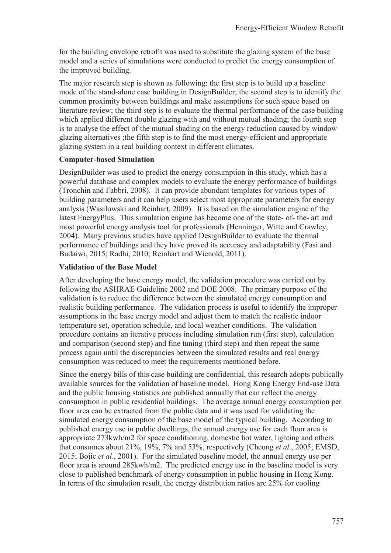for the building envelope retrofit was used to substitute the glazing system of the base model and a series of simulations were conducted to predict the energy consumption of the improved building.

The major research step is shown as following: the first step is to build up a baseline mode of the stand-alone case building in DesignBuilder; the second step is to identify the common proximity between buildings and make assumptions for such space based on literature review; the third step is to evaluate the thermal performance of the case building which applied different double glazing with and without mutual shading; the fourth step is to analyse the effect of the mutual shading on the energy reduction caused by window glazing alternatives ;the fifth step is to find the most energy-efficient and appropriate glazing system in a real building context in different climates.

#### **Computer-based Simulation**

DesignBuilder was used to predict the energy consumption in this study, which has a powerful database and complex models to evaluate the energy performance of buildings (Tronchin and Fabbri, 2008). It can provide abundant templates for various types of building parameters and it can help users select most appropriate parameters for energy analysis (Wasilowski and Reinhart, 2009). It is based on the simulation engine of the latest EnergyPlus. This simulation engine has become one of the state- of- the- art and most powerful energy analysis tool for professionals (Henninger, Witte and Crawley, 2004). Many previous studies have applied DesignBuilder to evaluate the thermal performance of buildings and they have proved its accuracy and adaptability (Fasi and Budaiwi, 2015; Radhi, 2010; Reinhart and Wienold, 2011).

### **Validation of the Base Model**

After developing the base energy model, the validation procedure was carried out by following the ASHRAE Guideline 2002 and DOE 2008. The primary purpose of the validation is to reduce the difference between the simulated energy consumption and realistic building performance. The validation process is useful to identify the improper assumptions in the base energy model and adjust them to match the realistic indoor temperature set, operation schedule, and local weather conditions. The validation procedure contains an iterative process including simulation run (first step), calculation and comparison (second step) and fine tuning (third step) and then repeat the same process again until the discrepancies between the simulated results and real energy consumption was reduced to meet the requirements mentioned before.

Since the energy bills of this case building are confidential, this research adopts publically available sources for the validation of baseline model. Hong Kong Energy End-use Data and the public housing statistics are published annually that can reflect the energy consumption in public residential buildings. The average annual energy consumption per floor area can be extracted from the public data and it was used for validating the simulated energy consumption of the base model of the typical building. According to published energy use in public dwellings, the annual energy use for each floor area is appropriate 273kwh/m2 for space conditioning, domestic hot water, lighting and others that consumes about 21%, 19%, 7% and 53%, respectively (Cheung *et al*., 2005; EMSD, 2015; Bojic *et al*., 2001). For the simulated baseline model, the annual energy use per floor area is around 285kwh/m2. The predicted energy use in the baseline model is very close to published benchmark of energy consumption in public housing in Hong Kong. In terms of the simulation result, the energy distribution ratios are 25% for cooling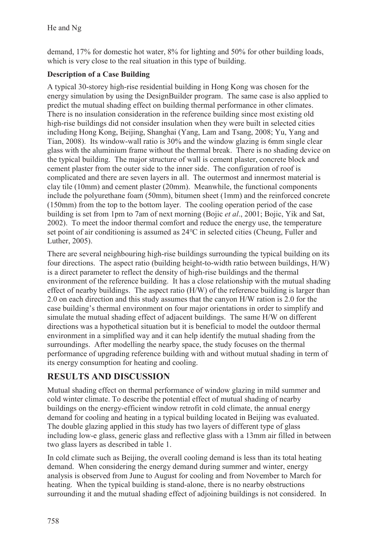demand, 17% for domestic hot water, 8% for lighting and 50% for other building loads, which is very close to the real situation in this type of building.

## **Description of a Case Building**

A typical 30-storey high-rise residential building in Hong Kong was chosen for the energy simulation by using the DesignBuilder program. The same case is also applied to predict the mutual shading effect on building thermal performance in other climates. There is no insulation consideration in the reference building since most existing old high-rise buildings did not consider insulation when they were built in selected cities including Hong Kong, Beijing, Shanghai (Yang, Lam and Tsang, 2008; Yu, Yang and Tian, 2008). Its window-wall ratio is 30% and the window glazing is 6mm single clear glass with the aluminium frame without the thermal break. There is no shading device on the typical building. The major structure of wall is cement plaster, concrete block and cement plaster from the outer side to the inner side. The configuration of roof is complicated and there are seven layers in all. The outermost and innermost material is clay tile (10mm) and cement plaster (20mm). Meanwhile, the functional components include the polyurethane foam (50mm), bitumen sheet (1mm) and the reinforced concrete (150mm) from the top to the bottom layer. The cooling operation period of the case building is set from 1pm to 7am of next morning (Bojic *et al*., 2001; Bojic, Yik and Sat, 2002). To meet the indoor thermal comfort and reduce the energy use, the temperature set point of air conditioning is assumed as 24℃ in selected cities (Cheung, Fuller and Luther, 2005).

There are several neighbouring high-rise buildings surrounding the typical building on its four directions. The aspect ratio (building height-to-width ratio between buildings, H/W) is a direct parameter to reflect the density of high-rise buildings and the thermal environment of the reference building. It has a close relationship with the mutual shading effect of nearby buildings. The aspect ratio (H/W) of the reference building is larger than 2.0 on each direction and this study assumes that the canyon H/W ration is 2.0 for the case building's thermal environment on four major orientations in order to simplify and simulate the mutual shading effect of adjacent buildings. The same H/W on different directions was a hypothetical situation but it is beneficial to model the outdoor thermal environment in a simplified way and it can help identify the mutual shading from the surroundings. After modelling the nearby space, the study focuses on the thermal performance of upgrading reference building with and without mutual shading in term of its energy consumption for heating and cooling.

## **RESULTS AND DISCUSSION**

Mutual shading effect on thermal performance of window glazing in mild summer and cold winter climate. To describe the potential effect of mutual shading of nearby buildings on the energy-efficient window retrofit in cold climate, the annual energy demand for cooling and heating in a typical building located in Beijing was evaluated. The double glazing applied in this study has two layers of different type of glass including low-e glass, generic glass and reflective glass with a 13mm air filled in between two glass layers as described in table 1.

In cold climate such as Beijing, the overall cooling demand is less than its total heating demand. When considering the energy demand during summer and winter, energy analysis is observed from June to August for cooling and from November to March for heating. When the typical building is stand-alone, there is no nearby obstructions surrounding it and the mutual shading effect of adjoining buildings is not considered. In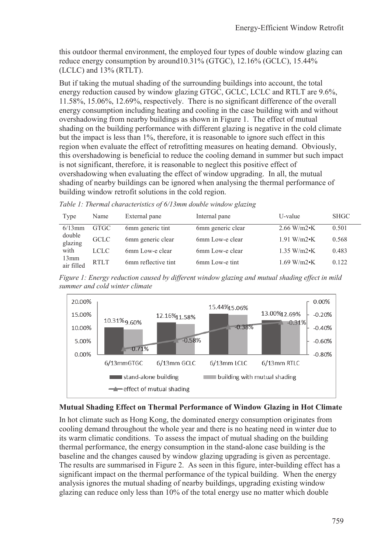this outdoor thermal environment, the employed four types of double window glazing can reduce energy consumption by around10.31% (GTGC), 12.16% (GCLC), 15.44% (LCLC) and 13% (RTLT).

But if taking the mutual shading of the surrounding buildings into account, the total energy reduction caused by window glazing GTGC, GCLC, LCLC and RTLT are 9.6%, 11.58%, 15.06%, 12.69%, respectively. There is no significant difference of the overall energy consumption including heating and cooling in the case building with and without overshadowing from nearby buildings as shown in Figure 1. The effect of mutual shading on the building performance with different glazing is negative in the cold climate but the impact is less than 1%, therefore, it is reasonable to ignore such effect in this region when evaluate the effect of retrofitting measures on heating demand. Obviously, this overshadowing is beneficial to reduce the cooling demand in summer but such impact is not significant, therefore, it is reasonable to neglect this positive effect of overshadowing when evaluating the effect of window upgrading. In all, the mutual shading of nearby buildings can be ignored when analysing the thermal performance of building window retrofit solutions in the cold region.

*Table 1: Thermal characteristics of 6/13mm double window glazing* 

| Type               | Name        | External pane       | Internal pane     | U-value               | <b>SHGC</b> |
|--------------------|-------------|---------------------|-------------------|-----------------------|-------------|
| $6/13$ mm          | <b>GTGC</b> | 6mm generic tint    | 6mm generic clear | $2.66 \text{ W/m2}$ K | 0.501       |
| double<br>glazing  | <b>GCLC</b> | 6mm generic clear   | 6mm Low-e clear   | $1.91 W/m2 \cdot K$   | 0.568       |
| with               | <b>LCLC</b> | 6mm Low-e clear     | 6mm Low-e clear   | $1.35 W/m2 \cdot K$   | 0.483       |
| 13mm<br>air filled | <b>RTLT</b> | 6mm reflective tint | 6mm Low-e tint    | $1.69 W/m2 \cdot K$   | 0.122       |

*Figure 1: Energy reduction caused by different window glazing and mutual shading effect in mild summer and cold winter climate* 



#### **Mutual Shading Effect on Thermal Performance of Window Glazing in Hot Climate**

In hot climate such as Hong Kong, the dominated energy consumption originates from cooling demand throughout the whole year and there is no heating need in winter due to its warm climatic conditions. To assess the impact of mutual shading on the building thermal performance, the energy consumption in the stand-alone case building is the baseline and the changes caused by window glazing upgrading is given as percentage. The results are summarised in Figure 2. As seen in this figure, inter-building effect has a significant impact on the thermal performance of the typical building. When the energy analysis ignores the mutual shading of nearby buildings, upgrading existing window glazing can reduce only less than 10% of the total energy use no matter which double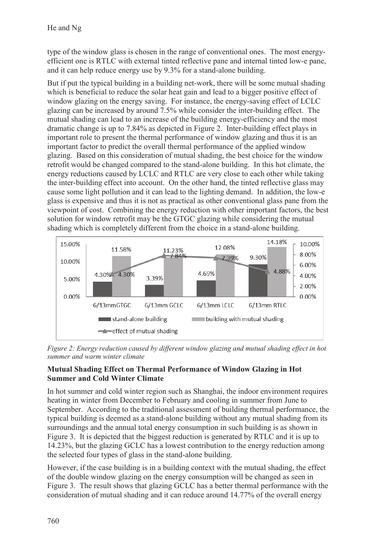type of the window glass is chosen in the range of conventional ones. The most energyefficient one is RTLC with external tinted reflective pane and internal tinted low-e pane, and it can help reduce energy use by 9.3% for a stand-alone building.

But if put the typical building in a building net-work, there will be some mutual shading which is beneficial to reduce the solar heat gain and lead to a bigger positive effect of window glazing on the energy saving. For instance, the energy-saving effect of LCLC glazing can be increased by around 7.5% while consider the inter-building effect. The mutual shading can lead to an increase of the building energy-efficiency and the most dramatic change is up to 7.84% as depicted in Figure 2. Inter-building effect plays in important role to present the thermal performance of window glazing and thus it is an important factor to predict the overall thermal performance of the applied window glazing. Based on this consideration of mutual shading, the best choice for the window retrofit would be changed compared to the stand-alone building. In this hot climate, the energy reductions caused by LCLC and RTLC are very close to each other while taking the inter-building effect into account. On the other hand, the tinted reflective glass may cause some light pollution and it can lead to the lighting demand. In addition, the low-e glass is expensive and thus it is not as practical as other conventional glass pane from the viewpoint of cost. Combining the energy reduction with other important factors, the best solution for window retrofit may be the GTGC glazing while considering the mutual shading which is completely different from the choice in a stand-alone building.



*Figure 2: Energy reduction caused by different window glazing and mutual shading effect in hot summer and warm winter climate* 

## **Mutual Shading Effect on Thermal Performance of Window Glazing in Hot Summer and Cold Winter Climate**

In hot summer and cold winter region such as Shanghai, the indoor environment requires heating in winter from December to February and cooling in summer from June to September. According to the traditional assessment of building thermal performance, the typical building is deemed as a stand-alone building without any mutual shading from its surroundings and the annual total energy consumption in such building is as shown in Figure 3. It is depicted that the biggest reduction is generated by RTLC and it is up to 14.23%, but the glazing GCLC has a lowest contribution to the energy reduction among the selected four types of glass in the stand-alone building.

However, if the case building is in a building context with the mutual shading, the effect of the double window glazing on the energy consumption will be changed as seen in Figure 3. The result shows that glazing GCLC has a better thermal performance with the consideration of mutual shading and it can reduce around 14.77% of the overall energy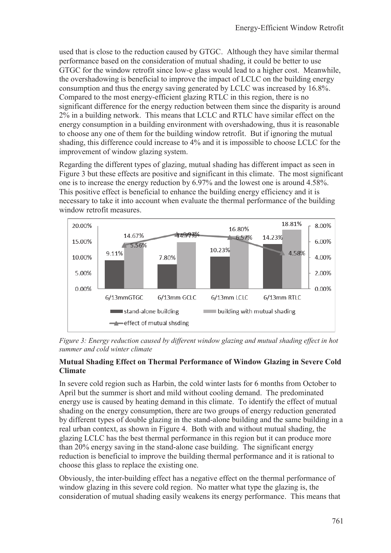used that is close to the reduction caused by GTGC. Although they have similar thermal performance based on the consideration of mutual shading, it could be better to use GTGC for the window retrofit since low-e glass would lead to a higher cost. Meanwhile, the overshadowing is beneficial to improve the impact of LCLC on the building energy consumption and thus the energy saving generated by LCLC was increased by 16.8%. Compared to the most energy-efficient glazing RTLC in this region, there is no significant difference for the energy reduction between them since the disparity is around 2% in a building network. This means that LCLC and RTLC have similar effect on the energy consumption in a building environment with overshadowing, thus it is reasonable to choose any one of them for the building window retrofit. But if ignoring the mutual shading, this difference could increase to 4% and it is impossible to choose LCLC for the improvement of window glazing system.

Regarding the different types of glazing, mutual shading has different impact as seen in Figure 3 but these effects are positive and significant in this climate. The most significant one is to increase the energy reduction by 6.97% and the lowest one is around 4.58%. This positive effect is beneficial to enhance the building energy efficiency and it is necessary to take it into account when evaluate the thermal performance of the building window retrofit measures.



*Figure 3: Energy reduction caused by different window glazing and mutual shading effect in hot summer and cold winter climate* 

## **Mutual Shading Effect on Thermal Performance of Window Glazing in Severe Cold Climate**

In severe cold region such as Harbin, the cold winter lasts for 6 months from October to April but the summer is short and mild without cooling demand. The predominated energy use is caused by heating demand in this climate. To identify the effect of mutual shading on the energy consumption, there are two groups of energy reduction generated by different types of double glazing in the stand-alone building and the same building in a real urban context, as shown in Figure 4. Both with and without mutual shading, the glazing LCLC has the best thermal performance in this region but it can produce more than 20% energy saving in the stand-alone case building. The significant energy reduction is beneficial to improve the building thermal performance and it is rational to choose this glass to replace the existing one.

Obviously, the inter-building effect has a negative effect on the thermal performance of window glazing in this severe cold region. No matter what type the glazing is, the consideration of mutual shading easily weakens its energy performance. This means that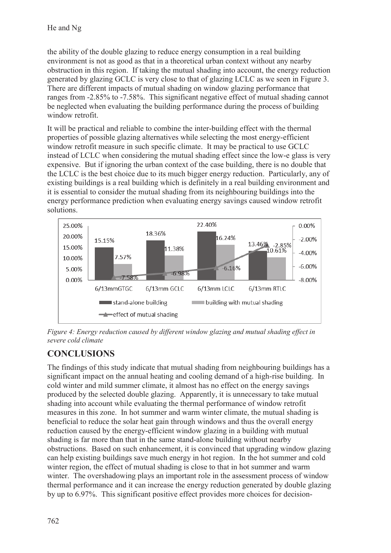the ability of the double glazing to reduce energy consumption in a real building environment is not as good as that in a theoretical urban context without any nearby obstruction in this region. If taking the mutual shading into account, the energy reduction generated by glazing GCLC is very close to that of glazing LCLC as we seen in Figure 3. There are different impacts of mutual shading on window glazing performance that ranges from -2.85% to -7.58%. This significant negative effect of mutual shading cannot be neglected when evaluating the building performance during the process of building window retrofit.

It will be practical and reliable to combine the inter-building effect with the thermal properties of possible glazing alternatives while selecting the most energy-efficient window retrofit measure in such specific climate. It may be practical to use GCLC instead of LCLC when considering the mutual shading effect since the low-e glass is very expensive. But if ignoring the urban context of the case building, there is no double that the LCLC is the best choice due to its much bigger energy reduction. Particularly, any of existing buildings is a real building which is definitely in a real building environment and it is essential to consider the mutual shading from its neighbouring buildings into the energy performance prediction when evaluating energy savings caused window retrofit solutions.



*Figure 4: Energy reduction caused by different window glazing and mutual shading effect in severe cold climate* 

# **CONCLUSIONS**

The findings of this study indicate that mutual shading from neighbouring buildings has a significant impact on the annual heating and cooling demand of a high-rise building. In cold winter and mild summer climate, it almost has no effect on the energy savings produced by the selected double glazing. Apparently, it is unnecessary to take mutual shading into account while evaluating the thermal performance of window retrofit measures in this zone. In hot summer and warm winter climate, the mutual shading is beneficial to reduce the solar heat gain through windows and thus the overall energy reduction caused by the energy-efficient window glazing in a building with mutual shading is far more than that in the same stand-alone building without nearby obstructions. Based on such enhancement, it is convinced that upgrading window glazing can help existing buildings save much energy in hot region. In the hot summer and cold winter region, the effect of mutual shading is close to that in hot summer and warm winter. The overshadowing plays an important role in the assessment process of window thermal performance and it can increase the energy reduction generated by double glazing by up to 6.97%. This significant positive effect provides more choices for decision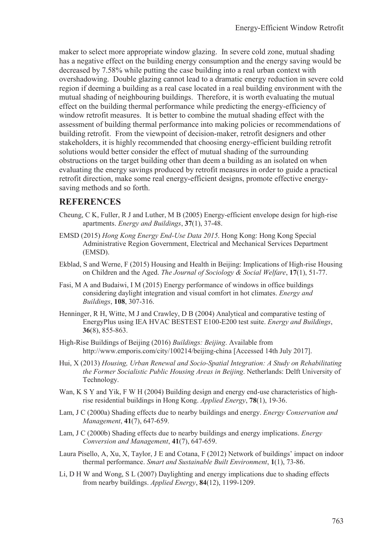maker to select more appropriate window glazing. In severe cold zone, mutual shading has a negative effect on the building energy consumption and the energy saving would be decreased by 7.58% while putting the case building into a real urban context with overshadowing. Double glazing cannot lead to a dramatic energy reduction in severe cold region if deeming a building as a real case located in a real building environment with the mutual shading of neighbouring buildings. Therefore, it is worth evaluating the mutual effect on the building thermal performance while predicting the energy-efficiency of window retrofit measures. It is better to combine the mutual shading effect with the assessment of building thermal performance into making policies or recommendations of building retrofit. From the viewpoint of decision-maker, retrofit designers and other stakeholders, it is highly recommended that choosing energy-efficient building retrofit solutions would better consider the effect of mutual shading of the surrounding obstructions on the target building other than deem a building as an isolated on when evaluating the energy savings produced by retrofit measures in order to guide a practical retrofit direction, make some real energy-efficient designs, promote effective energysaving methods and so forth.

#### **REFERENCES**

- Cheung, C K, Fuller, R J and Luther, M B (2005) Energy-efficient envelope design for high-rise apartments. *Energy and Buildings*, **37**(1), 37-48.
- EMSD (2015) *Hong Kong Energy End-Use Data 2015*. Hong Kong: Hong Kong Special Administrative Region Government, Electrical and Mechanical Services Department (EMSD).
- Ekblad, S and Werne, F (2015) Housing and Health in Beijing: Implications of High-rise Housing on Children and the Aged. *The Journal of Sociology & Social Welfare*, **17**(1), 51-77.
- Fasi, M A and Budaiwi, I M (2015) Energy performance of windows in office buildings considering daylight integration and visual comfort in hot climates. *Energy and Buildings*, **108**, 307-316.
- Henninger, R H, Witte, M J and Crawley, D B (2004) Analytical and comparative testing of EnergyPlus using IEA HVAC BESTEST E100-E200 test suite. *Energy and Buildings*, **36**(8), 855-863.
- High-Rise Buildings of Beijing (2016) *Buildings: Beijing*. Available from http://www.emporis.com/city/100214/beijing-china [Accessed 14th July 2017].
- Hui, X (2013) *Housing, Urban Renewal and Socio-Spatial Integration: A Study on Rehabilitating the Former Socialistic Public Housing Areas in Beijing*. Netherlands: Delft University of Technology.
- Wan, K S Y and Yik, F W H (2004) Building design and energy end-use characteristics of highrise residential buildings in Hong Kong. *Applied Energy*, **78**(1), 19-36.
- Lam, J C (2000a) Shading effects due to nearby buildings and energy. *Energy Conservation and Management*, **41**(7), 647-659.
- Lam, J C (2000b) Shading effects due to nearby buildings and energy implications. *Energy Conversion and Management*, **41**(7), 647-659.
- Laura Pisello, A, Xu, X, Taylor, J E and Cotana, F (2012) Network of buildings' impact on indoor thermal performance. *Smart and Sustainable Built Environment*, **1**(1), 73-86.
- Li, D H W and Wong, S L (2007) Daylighting and energy implications due to shading effects from nearby buildings. *Applied Energy*, **84**(12), 1199-1209.